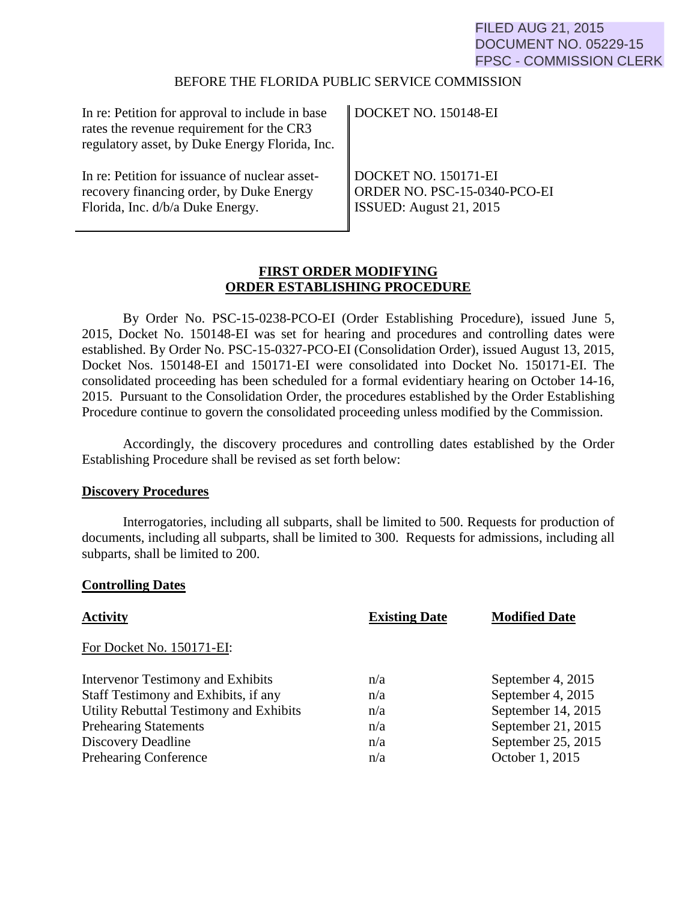# FILED AUG 21, 2015 DOCUMENT NO. 05229-15 FPSC - COMMISSION CLERK

### BEFORE THE FLORIDA PUBLIC SERVICE COMMISSION

| In re: Petition for approval to include in base<br>rates the revenue requirement for the CR3<br>regulatory asset, by Duke Energy Florida, Inc. | $\parallel$ DOCKET NO. 150148-EI |
|------------------------------------------------------------------------------------------------------------------------------------------------|----------------------------------|
| In re: Petition for issuance of nuclear asset-                                                                                                 | DOCKET NO. 150171-EI             |
| recovery financing order, by Duke Energy                                                                                                       | ORDER NO. PSC-15-0340-PCO-EI     |
| Florida, Inc. d/b/a Duke Energy.                                                                                                               | ISSUED: August $21, 2015$        |

# **FIRST ORDER MODIFYING ORDER ESTABLISHING PROCEDURE**

By Order No. PSC-15-0238-PCO-EI (Order Establishing Procedure), issued June 5, 2015, Docket No. 150148-EI was set for hearing and procedures and controlling dates were established. By Order No. PSC-15-0327-PCO-EI (Consolidation Order), issued August 13, 2015, Docket Nos. 150148-EI and 150171-EI were consolidated into Docket No. 150171-EI. The consolidated proceeding has been scheduled for a formal evidentiary hearing on October 14-16, 2015. Pursuant to the Consolidation Order, the procedures established by the Order Establishing Procedure continue to govern the consolidated proceeding unless modified by the Commission.

Accordingly, the discovery procedures and controlling dates established by the Order Establishing Procedure shall be revised as set forth below:

#### **Discovery Procedures**

 Interrogatories, including all subparts, shall be limited to 500. Requests for production of documents, including all subparts, shall be limited to 300. Requests for admissions, including all subparts, shall be limited to 200.

### **Controlling Dates**

| <b>Existing Date</b><br><b>Activity</b><br><b>Modified Date</b>      |  |
|----------------------------------------------------------------------|--|
| For Docket No. 150171-EI:                                            |  |
| September 4, 2015<br>Intervenor Testimony and Exhibits<br>n/a        |  |
| September 4, 2015<br>Staff Testimony and Exhibits, if any<br>n/a     |  |
| Utility Rebuttal Testimony and Exhibits<br>September 14, 2015<br>n/a |  |
| September 21, 2015<br><b>Prehearing Statements</b><br>n/a            |  |
| September 25, 2015<br>Discovery Deadline<br>n/a                      |  |
| <b>Prehearing Conference</b><br>October 1, 2015<br>n/a               |  |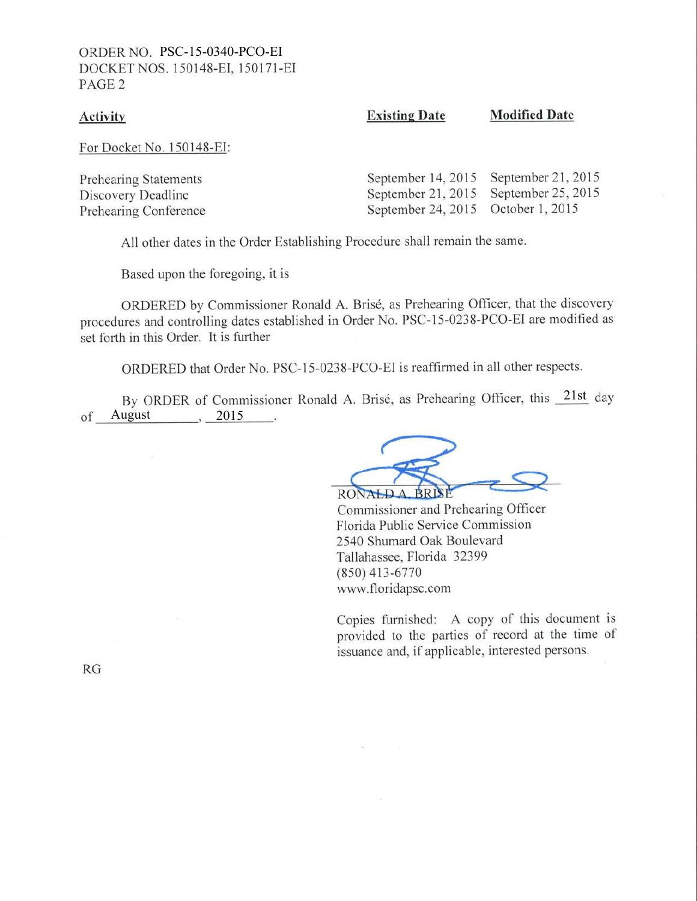### ORDER NO. PSC-15-0340-PCO-EI DOCKET NOS. 150148-EI. 150171-EI PAGE 2

#### **Activity**

Existing Date Modified Date

For Docket No. 150148-EI:

| Prehearing Statements | September 14, 2015 September 21, 2015 |  |
|-----------------------|---------------------------------------|--|
| Discovery Deadline    | September 21, 2015 September 25, 2015 |  |
| Prehearing Conference | September 24, 2015 October 1, 2015    |  |

All other dates in the Order Establishing Procedure shall remain the same.

Based upon the foregoing, it is

ORDERED by Commissioner Ronald A. Bris6, as Prehearing Officer, that the discovery procedures and controlling dates established in Order No. PSC-15-0238-PCO-EI are modified as set forth in this Order. It is further

ORDERED that Order No. PSC-15-0238-PCO-EI is reaffirmed in all other respects.

of August , 2015 By ORDER of Commissioner Ronald A. Brisé, as Prehearing Officer, this 21st day

RONALD A BRISE

Commissioner and Prehearing Officer Florida Public Service Commission 2540 Shumard Oak Boulevard Tallahassee, Florida 32399 (8s0) 413-6770 www.floridapsc.com

Copies furnished: A copy of this document is provided to the parties of record at the time of issuance and, if applicable, interested persons.

RG